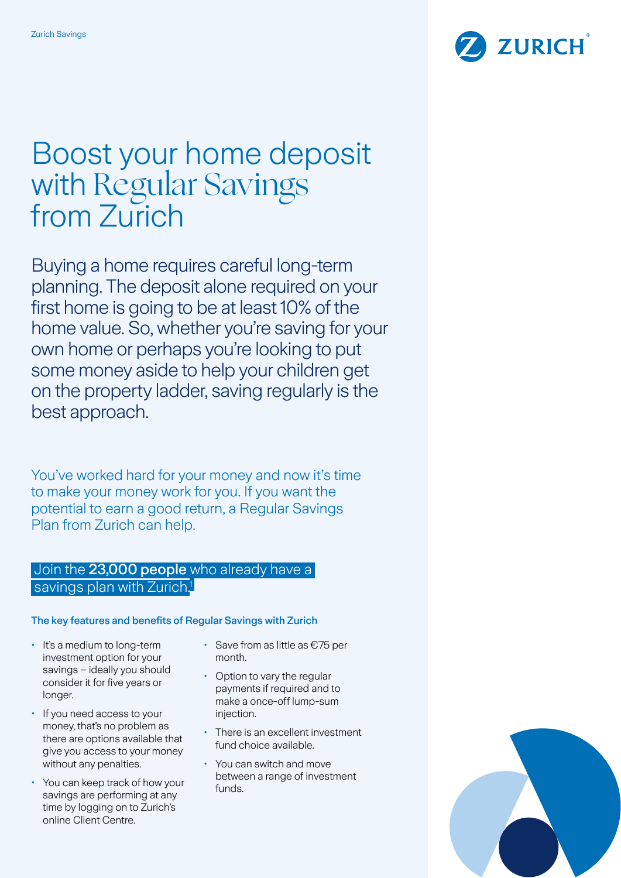

# Boost your home deposit with Regular Savings from Zurich

Buying a home requires careful long-term planning. The deposit alone required on your first home is going to be at least 10% of the home value. So, whether you're saving for your own home or perhaps you're looking to put some money aside to help your children get on the property ladder, saving regularly is the best approach.

You've worked hard for your money and now it's time to make your money work for you. If you want the potential to earn a good return, a Regular Savings Plan from Zurich can help.

## Join the 23,000 people who already have a savings plan with Zurich<sup>1</sup>

#### The key features and benefits of Regular Savings with Zurich

- It's a medium to long-term investment option for your savings – ideally you should consider it for five years or longer.
- If you need access to your money, that's no problem as there are options available that give you access to your money without any penalties.
- You can keep track of how your savings are performing at any time by logging on to Zurich's online Client Centre.
- Save from as little as €75 per month.
- Option to vary the regular payments if required and to make a once-off lump-sum injection.
- There is an excellent investment fund choice available.
- You can switch and move between a range of investment funds.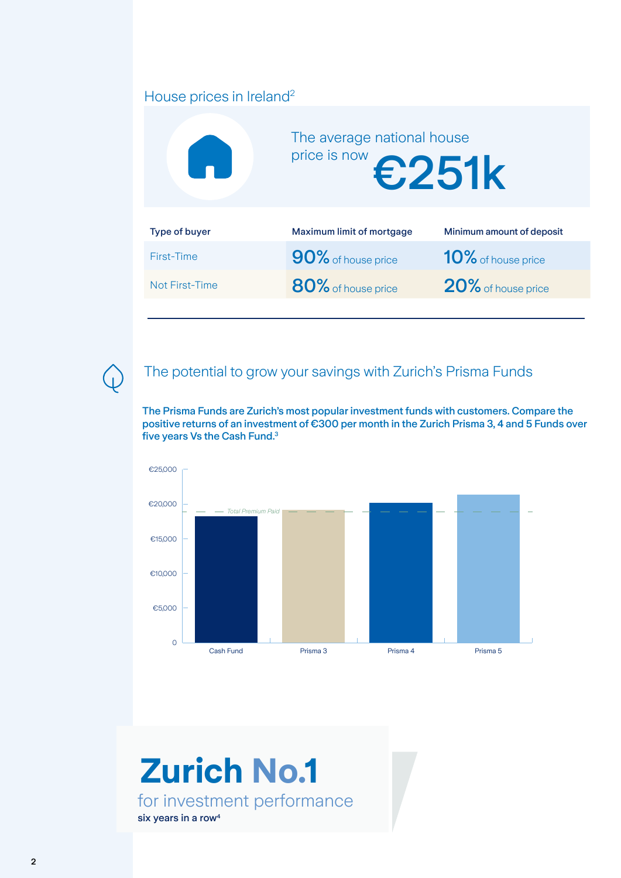# House prices in Ireland<sup>2</sup>



### The potential to grow your savings with Zurich's Prisma Funds

The Prisma Funds are Zurich's most popular investment funds with customers. Compare the positive returns of an investment of €300 per month in the Zurich Prisma 3, 4 and 5 Funds over five years Vs the Cash Fund.3



# for investment performance six years in a row<sup>4</sup> **Zurich No.1**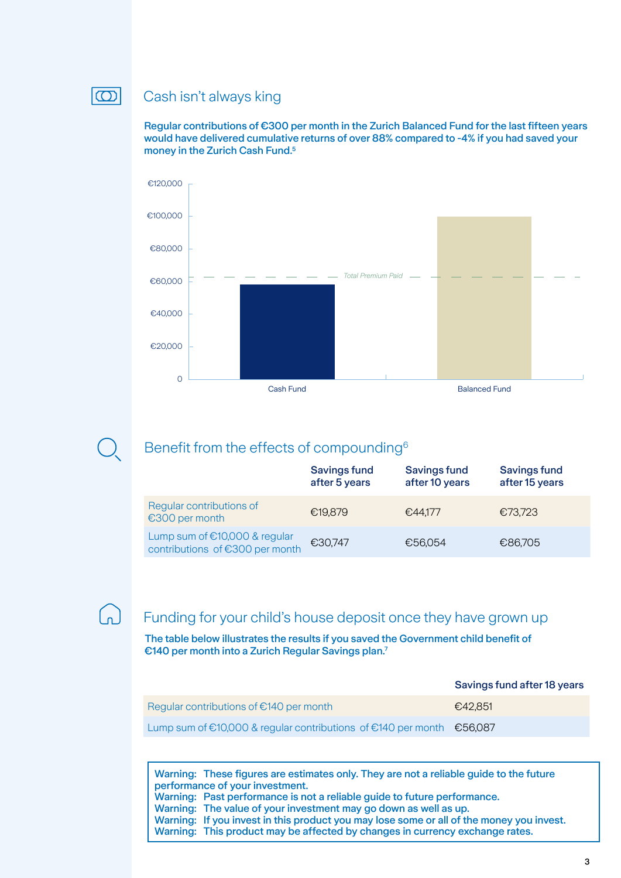#### $|\mathbf{\Omega}|$

#### Cash isn't always king

Regular contributions of €300 per month in the Zurich Balanced Fund for the last fifteen years would have delivered cumulative returns of over 88% compared to -4% if you had saved your money in the Zurich Cash Fund.<sup>5</sup>



## Benefit from the effects of compounding6

|                                                                  | <b>Savings fund</b><br>after 5 years | <b>Savings fund</b><br>after 10 years | <b>Savings fund</b><br>after 15 years |
|------------------------------------------------------------------|--------------------------------------|---------------------------------------|---------------------------------------|
| Regular contributions of<br>€300 per month                       | €19,879                              | €44.177                               | €73,723                               |
| Lump sum of €10,000 & regular<br>contributions of €300 per month | €30,747                              | €56,054                               | €86,705                               |

 $\boxed{\mathbf{n}}$ 

#### Funding for your child's house deposit once they have grown up

The table below illustrates the results if you saved the Government child benefit of €140 per month into a Zurich Regular Savings plan.7

|                                                                         | Savings fund after 18 years |
|-------------------------------------------------------------------------|-----------------------------|
| Regular contributions of $\epsilon$ 140 per month                       | €42.851                     |
| Lump sum of €10,000 & regular contributions of €140 per month $€56,087$ |                             |

Warning: These figures are estimates only. They are not a reliable guide to the future performance of your investment. Warning: Past performance is not a reliable guide to future performance. Warning: The value of your investment may go down as well as up. Warning: If you invest in this product you may lose some or all of the money you invest. Warning: This product may be affected by changes in currency exchange rates.